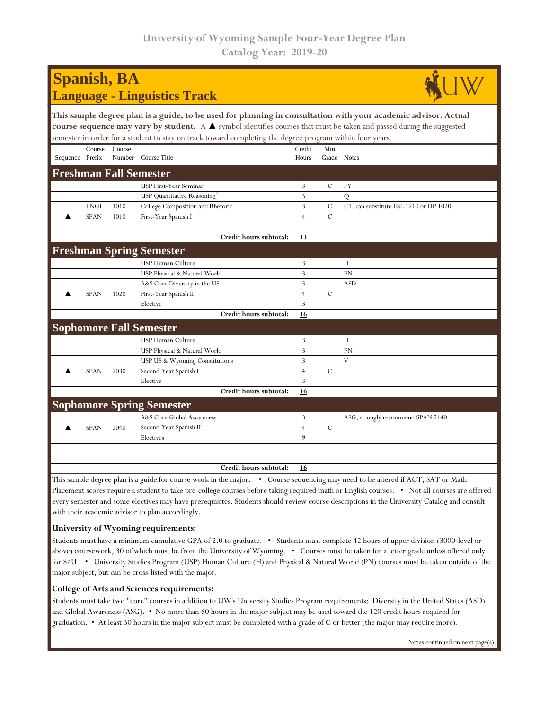| <b>Spanish, BA</b><br><b>Language - Linguistics Track</b>                                                                                                                                                                                                                                                                                                          |             |        |                                     |                 |                |                                        |  |  |  |  |
|--------------------------------------------------------------------------------------------------------------------------------------------------------------------------------------------------------------------------------------------------------------------------------------------------------------------------------------------------------------------|-------------|--------|-------------------------------------|-----------------|----------------|----------------------------------------|--|--|--|--|
| This sample degree plan is a guide, to be used for planning in consultation with your academic advisor. Actual<br>course sequence may vary by student. A $\blacktriangle$ symbol identifies courses that must be taken and passed during the suggested<br>semester in order for a student to stay on track toward completing the degree program within four years. |             |        |                                     |                 |                |                                        |  |  |  |  |
| Sequence Prefix                                                                                                                                                                                                                                                                                                                                                    | Course      | Course | Number Course Title                 | Credit<br>Hours | Min            | Grade Notes                            |  |  |  |  |
| <b>Freshman Fall Semester</b>                                                                                                                                                                                                                                                                                                                                      |             |        |                                     |                 |                |                                        |  |  |  |  |
|                                                                                                                                                                                                                                                                                                                                                                    |             |        | USP First-Year Seminar              | 3               | $\mathcal{C}$  | <b>FY</b>                              |  |  |  |  |
|                                                                                                                                                                                                                                                                                                                                                                    |             |        | USP Quantitative Reasoning          | $\overline{3}$  |                | $\overline{Q}$                         |  |  |  |  |
|                                                                                                                                                                                                                                                                                                                                                                    | <b>ENGL</b> | 1010   | College Composition and Rhetoric    | 3               | $\mathcal{C}$  | C1: can substitute ESL 1210 or HP 1020 |  |  |  |  |
| ▲                                                                                                                                                                                                                                                                                                                                                                  | <b>SPAN</b> | 1010   | First-Year Spanish I                | $\overline{4}$  | $\overline{C}$ |                                        |  |  |  |  |
|                                                                                                                                                                                                                                                                                                                                                                    |             |        | Credit hours subtotal:              | 13              |                |                                        |  |  |  |  |
|                                                                                                                                                                                                                                                                                                                                                                    |             |        | <b>Freshman Spring Semester</b>     |                 |                |                                        |  |  |  |  |
|                                                                                                                                                                                                                                                                                                                                                                    |             |        | <b>USP Human Culture</b>            | 3               |                | H                                      |  |  |  |  |
|                                                                                                                                                                                                                                                                                                                                                                    |             |        | USP Physical & Natural World        | 3               |                | <b>PN</b>                              |  |  |  |  |
|                                                                                                                                                                                                                                                                                                                                                                    |             |        | A&S Core Diversity in the US        | 3               |                | <b>ASD</b>                             |  |  |  |  |
| ▲                                                                                                                                                                                                                                                                                                                                                                  | <b>SPAN</b> | 1020   | First-Year Spanish II               | $\overline{4}$  | $\overline{C}$ |                                        |  |  |  |  |
|                                                                                                                                                                                                                                                                                                                                                                    |             |        | Elective                            | 3               |                |                                        |  |  |  |  |
|                                                                                                                                                                                                                                                                                                                                                                    |             |        | Credit hours subtotal:              | 16              |                |                                        |  |  |  |  |
|                                                                                                                                                                                                                                                                                                                                                                    |             |        | <b>Sophomore Fall Semester</b>      |                 |                |                                        |  |  |  |  |
|                                                                                                                                                                                                                                                                                                                                                                    |             |        | USP Human Culture                   | 3               |                | H                                      |  |  |  |  |
|                                                                                                                                                                                                                                                                                                                                                                    |             |        | USP Physical & Natural World        | $\overline{3}$  |                | <b>PN</b>                              |  |  |  |  |
|                                                                                                                                                                                                                                                                                                                                                                    |             |        | USP US & Wyoming Constitutions      | 3               |                | V                                      |  |  |  |  |
|                                                                                                                                                                                                                                                                                                                                                                    | <b>SPAN</b> | 2030   | Second-Year Spanish I               | $\overline{4}$  | $\mathcal{C}$  |                                        |  |  |  |  |
|                                                                                                                                                                                                                                                                                                                                                                    |             |        | Elective                            | $\overline{3}$  |                |                                        |  |  |  |  |
|                                                                                                                                                                                                                                                                                                                                                                    |             |        | Credit hours subtotal:              | 16              |                |                                        |  |  |  |  |
| <b>Sophomore Spring Semester</b>                                                                                                                                                                                                                                                                                                                                   |             |        |                                     |                 |                |                                        |  |  |  |  |
|                                                                                                                                                                                                                                                                                                                                                                    |             |        | A&S Core Global Awareness           | 3               |                | ASG; strongly recommend SPAN 2140      |  |  |  |  |
| ▲                                                                                                                                                                                                                                                                                                                                                                  | <b>SPAN</b> | 2040   | Second-Year Spanish II <sup>1</sup> | $\overline{4}$  | $\mathcal{C}$  |                                        |  |  |  |  |
|                                                                                                                                                                                                                                                                                                                                                                    |             |        | Electives                           | 9               |                |                                        |  |  |  |  |
|                                                                                                                                                                                                                                                                                                                                                                    |             |        |                                     |                 |                |                                        |  |  |  |  |
| Credit hours subtotal:<br>16                                                                                                                                                                                                                                                                                                                                       |             |        |                                     |                 |                |                                        |  |  |  |  |
| This semple degree plan is a quide fou course would in the major<br>Course convenience movement to be alternal if ACT, CAT on Math                                                                                                                                                                                                                                 |             |        |                                     |                 |                |                                        |  |  |  |  |

This sample degree plan is a guide for course work in the major. • Course sequencing may need to be altered if ACT, SAT or Math Placement scores require a student to take pre-college courses before taking required math or English courses. • Not all courses are offered every semester and some electives may have prerequisites. Students should review course descriptions in the University Catalog and consult with their academic advisor to plan accordingly.

## **University of Wyoming requirements:**

Students must have a minimum cumulative GPA of 2.0 to graduate. • Students must complete 42 hours of upper division (3000-level or above) coursework, 30 of which must be from the University of Wyoming. • Courses must be taken for a letter grade unless offered only for S/U. • University Studies Program (USP) Human Culture (H) and Physical & Natural World (PN) courses must be taken outside of the major subject, but can be cross-listed with the major.

## **College of Arts and Sciences requirements:**

Students must take two "core" courses in addition to UW's University Studies Program requirements: Diversity in the United States (ASD) and Global Awareness (ASG). • No more than 60 hours in the major subject may be used toward the 120 credit hours required for graduation. • At least 30 hours in the major subject must be completed with a grade of C or better (the major may require more).